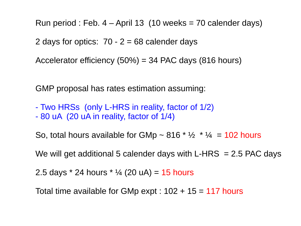Run period : Feb.  $4 -$ April 13 (10 weeks = 70 calender days)

2 days for optics:  $70 - 2 = 68$  calender days

Accelerator efficiency (50%) = 34 PAC days (816 hours)

GMP proposal has rates estimation assuming:

- Two HRSs (only L-HRS in reality, factor of 1/2)
- 80 uA (20 uA in reality, factor of 1/4)

So, total hours available for GMp  $\sim$  816  $*$  1/2  $*$  1/4 = 102 hours

We will get additional 5 calender days with L-HRS  $= 2.5$  PAC days

2.5 days  $*$  24 hours  $*$  ¼ (20 uA) = 15 hours

Total time available for GMp expt :  $102 + 15 = 117$  hours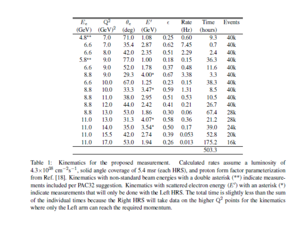| Е.       | $\mathbf{Q}^2$ | $\theta_r$ | $E^\prime$ | Ē    | Rate  | Time    | Events |
|----------|----------------|------------|------------|------|-------|---------|--------|
| GeV      | $(GeV)^2$      | (deg)      | (GeV)      |      | (Hz)  | (hours) |        |
| $4.8***$ | 7.0            | 71.0       | 1.08       | 0.25 | 0.60  | 9.3     | 40k    |
| 6.6      | 7.0            | 35.4       | 2.87       | 0.62 | 7.45  | 0.7     | 40k    |
| 6.6      | 8.0            | 42.0       | 2.35       | 0.51 | 2.29  | 2.4     | 40k    |
| 5.8**    | 9.0            | 77.0       | 1.00       | 0.18 | 0.15  | 36.3    | 40k    |
| 6.6      | 9.0            | 52.0       | 1.78       | 0.37 | 0.48  | 11.6    | 40k    |
| 8.8      | 9.0            | 29.3       | $4.00*$    | 0.67 | 3.38  | 33      | 40k    |
| 6.6      | 10.0           | 67.0       | 1.25       | 0.23 | 0.15  | 38.3    | 40k    |
| 8.8      | 10.0           | 33.3       | $3.47*$    | 0.59 | 1.31  | 8.5     | 40k    |
| 8.8      | 11.0           | 38.0       | 2.95       | 0.51 | 0.53  | 10.5    | 40k    |
| 8.8      | 12.0           | 44.0       | 2.42       | 0.41 | 0.21  | 26.7    | 40k    |
| 8.8      | 13.0           | 53.0       | 1.86       | 0.30 | 0.06  | 67.4    | 28k    |
| 11.0     | 13.0           | 31.3       | $4.07*$    | 0.58 | 0.36  | 21.2    | 28k    |
| 11.0     | 14.0           | 35.0       | $3.54*$    | 0.50 | 0.17  | 39.0    | 24k    |
| 11.0     | 15.5           | 42.0       | 274        | 0.39 | 0.053 | 52.8    | 20k    |
| 11.0     | 17.0           | 53.0       | 1.94       | 0.26 | 0.013 | 175.2   | 16k    |
|          |                |            |            |      |       | 503.3   |        |

Table 1: Kinematics for the proposed measurement. Calculated rates assume a luminosity of  $4.3 \times 10^{38}$  cm<sup>-2</sup>s<sup>-1</sup>, solid angle coverage of 5.4 msr (each HRS), and proton form factor parameterization from Ref. [18]. Kinematics with non-standard beam energies with a double asterisk (\*\*) indicate measurements included per PAC32 suggestion. Kinematics with scattered electron energy  $(E')$  with an asterisk (\*) indicate measurements that will only be done with the Left HRS. The total time is slightly less than the sum of the individual times because the Right HRS will take data on the higher  $Q<sup>2</sup>$  points for the kinematics where only the Left arm can reach the required momentum.